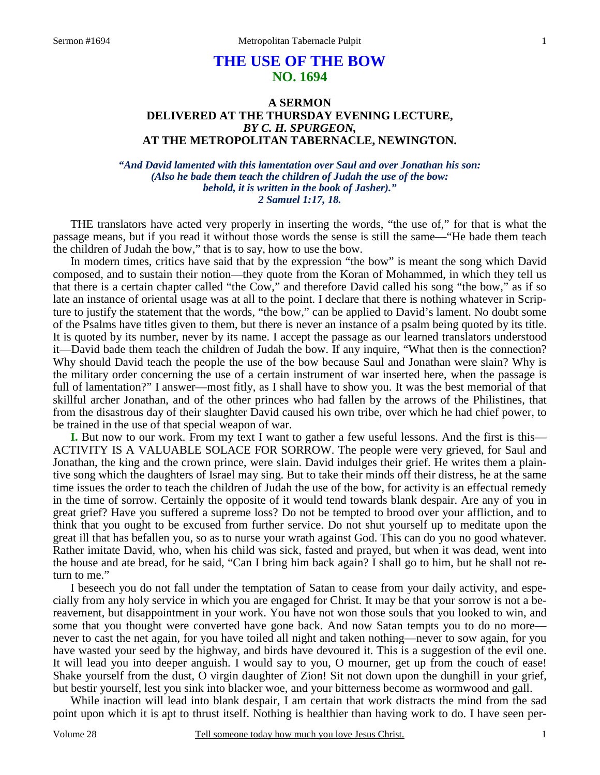# **THE USE OF THE BOW NO. 1694**

### **A SERMON DELIVERED AT THE THURSDAY EVENING LECTURE,**  *BY C. H. SPURGEON,*  **AT THE METROPOLITAN TABERNACLE, NEWINGTON.**

*"And David lamented with this lamentation over Saul and over Jonathan his son: (Also he bade them teach the children of Judah the use of the bow: behold, it is written in the book of Jasher)." 2 Samuel 1:17, 18.* 

 THE translators have acted very properly in inserting the words, "the use of," for that is what the passage means, but if you read it without those words the sense is still the same—"He bade them teach the children of Judah the bow," that is to say, how to use the bow.

 In modern times, critics have said that by the expression "the bow" is meant the song which David composed, and to sustain their notion—they quote from the Koran of Mohammed, in which they tell us that there is a certain chapter called "the Cow," and therefore David called his song "the bow," as if so late an instance of oriental usage was at all to the point. I declare that there is nothing whatever in Scripture to justify the statement that the words, "the bow," can be applied to David's lament. No doubt some of the Psalms have titles given to them, but there is never an instance of a psalm being quoted by its title. It is quoted by its number, never by its name. I accept the passage as our learned translators understood it—David bade them teach the children of Judah the bow. If any inquire, "What then is the connection? Why should David teach the people the use of the bow because Saul and Jonathan were slain? Why is the military order concerning the use of a certain instrument of war inserted here, when the passage is full of lamentation?" I answer—most fitly, as I shall have to show you. It was the best memorial of that skillful archer Jonathan, and of the other princes who had fallen by the arrows of the Philistines, that from the disastrous day of their slaughter David caused his own tribe, over which he had chief power, to be trained in the use of that special weapon of war.

**I.** But now to our work. From my text I want to gather a few useful lessons. And the first is this— ACTIVITY IS A VALUABLE SOLACE FOR SORROW. The people were very grieved, for Saul and Jonathan, the king and the crown prince, were slain. David indulges their grief. He writes them a plaintive song which the daughters of Israel may sing. But to take their minds off their distress, he at the same time issues the order to teach the children of Judah the use of the bow, for activity is an effectual remedy in the time of sorrow. Certainly the opposite of it would tend towards blank despair. Are any of you in great grief? Have you suffered a supreme loss? Do not be tempted to brood over your affliction, and to think that you ought to be excused from further service. Do not shut yourself up to meditate upon the great ill that has befallen you, so as to nurse your wrath against God. This can do you no good whatever. Rather imitate David, who, when his child was sick, fasted and prayed, but when it was dead, went into the house and ate bread, for he said, "Can I bring him back again? I shall go to him, but he shall not return to me."

 I beseech you do not fall under the temptation of Satan to cease from your daily activity, and especially from any holy service in which you are engaged for Christ. It may be that your sorrow is not a bereavement, but disappointment in your work. You have not won those souls that you looked to win, and some that you thought were converted have gone back. And now Satan tempts you to do no more never to cast the net again, for you have toiled all night and taken nothing—never to sow again, for you have wasted your seed by the highway, and birds have devoured it. This is a suggestion of the evil one. It will lead you into deeper anguish. I would say to you, O mourner, get up from the couch of ease! Shake yourself from the dust, O virgin daughter of Zion! Sit not down upon the dunghill in your grief, but bestir yourself, lest you sink into blacker woe, and your bitterness become as wormwood and gall.

 While inaction will lead into blank despair, I am certain that work distracts the mind from the sad point upon which it is apt to thrust itself. Nothing is healthier than having work to do. I have seen per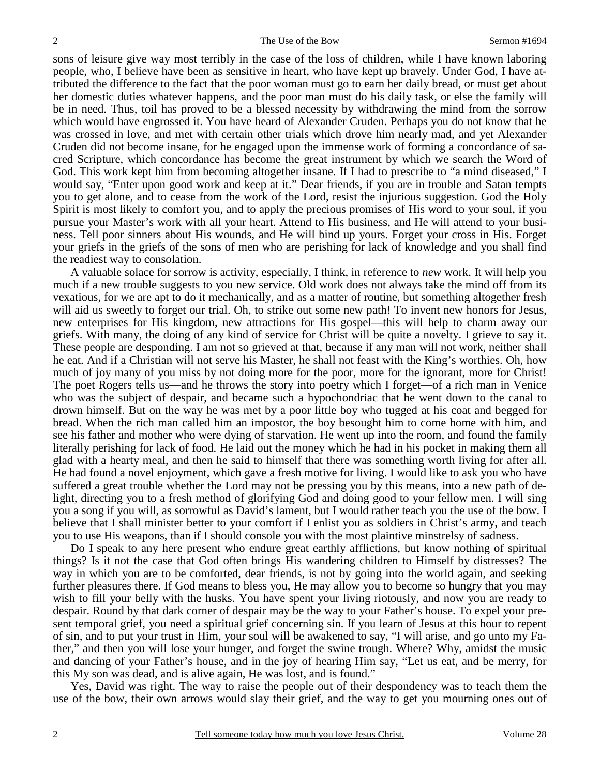sons of leisure give way most terribly in the case of the loss of children, while I have known laboring people, who, I believe have been as sensitive in heart, who have kept up bravely. Under God, I have attributed the difference to the fact that the poor woman must go to earn her daily bread, or must get about her domestic duties whatever happens, and the poor man must do his daily task, or else the family will be in need. Thus, toil has proved to be a blessed necessity by withdrawing the mind from the sorrow which would have engrossed it. You have heard of Alexander Cruden. Perhaps you do not know that he was crossed in love, and met with certain other trials which drove him nearly mad, and yet Alexander Cruden did not become insane, for he engaged upon the immense work of forming a concordance of sacred Scripture, which concordance has become the great instrument by which we search the Word of God. This work kept him from becoming altogether insane. If I had to prescribe to "a mind diseased," I would say, "Enter upon good work and keep at it." Dear friends, if you are in trouble and Satan tempts you to get alone, and to cease from the work of the Lord, resist the injurious suggestion. God the Holy Spirit is most likely to comfort you, and to apply the precious promises of His word to your soul, if you pursue your Master's work with all your heart. Attend to His business, and He will attend to your business. Tell poor sinners about His wounds, and He will bind up yours. Forget your cross in His. Forget your griefs in the griefs of the sons of men who are perishing for lack of knowledge and you shall find the readiest way to consolation.

 A valuable solace for sorrow is activity, especially, I think, in reference to *new* work. It will help you much if a new trouble suggests to you new service. Old work does not always take the mind off from its vexatious, for we are apt to do it mechanically, and as a matter of routine, but something altogether fresh will aid us sweetly to forget our trial. Oh, to strike out some new path! To invent new honors for Jesus, new enterprises for His kingdom, new attractions for His gospel—this will help to charm away our griefs. With many, the doing of any kind of service for Christ will be quite a novelty. I grieve to say it. These people are desponding. I am not so grieved at that, because if any man will not work, neither shall he eat. And if a Christian will not serve his Master, he shall not feast with the King's worthies. Oh, how much of joy many of you miss by not doing more for the poor, more for the ignorant, more for Christ! The poet Rogers tells us—and he throws the story into poetry which I forget—of a rich man in Venice who was the subject of despair, and became such a hypochondriac that he went down to the canal to drown himself. But on the way he was met by a poor little boy who tugged at his coat and begged for bread. When the rich man called him an impostor, the boy besought him to come home with him, and see his father and mother who were dying of starvation. He went up into the room, and found the family literally perishing for lack of food. He laid out the money which he had in his pocket in making them all glad with a hearty meal, and then he said to himself that there was something worth living for after all. He had found a novel enjoyment, which gave a fresh motive for living. I would like to ask you who have suffered a great trouble whether the Lord may not be pressing you by this means, into a new path of delight, directing you to a fresh method of glorifying God and doing good to your fellow men. I will sing you a song if you will, as sorrowful as David's lament, but I would rather teach you the use of the bow. I believe that I shall minister better to your comfort if I enlist you as soldiers in Christ's army, and teach you to use His weapons, than if I should console you with the most plaintive minstrelsy of sadness.

 Do I speak to any here present who endure great earthly afflictions, but know nothing of spiritual things? Is it not the case that God often brings His wandering children to Himself by distresses? The way in which you are to be comforted, dear friends, is not by going into the world again, and seeking further pleasures there. If God means to bless you, He may allow you to become so hungry that you may wish to fill your belly with the husks. You have spent your living riotously, and now you are ready to despair. Round by that dark corner of despair may be the way to your Father's house. To expel your present temporal grief, you need a spiritual grief concerning sin. If you learn of Jesus at this hour to repent of sin, and to put your trust in Him, your soul will be awakened to say, "I will arise, and go unto my Father," and then you will lose your hunger, and forget the swine trough. Where? Why, amidst the music and dancing of your Father's house, and in the joy of hearing Him say, "Let us eat, and be merry, for this My son was dead, and is alive again, He was lost, and is found."

 Yes, David was right. The way to raise the people out of their despondency was to teach them the use of the bow, their own arrows would slay their grief, and the way to get you mourning ones out of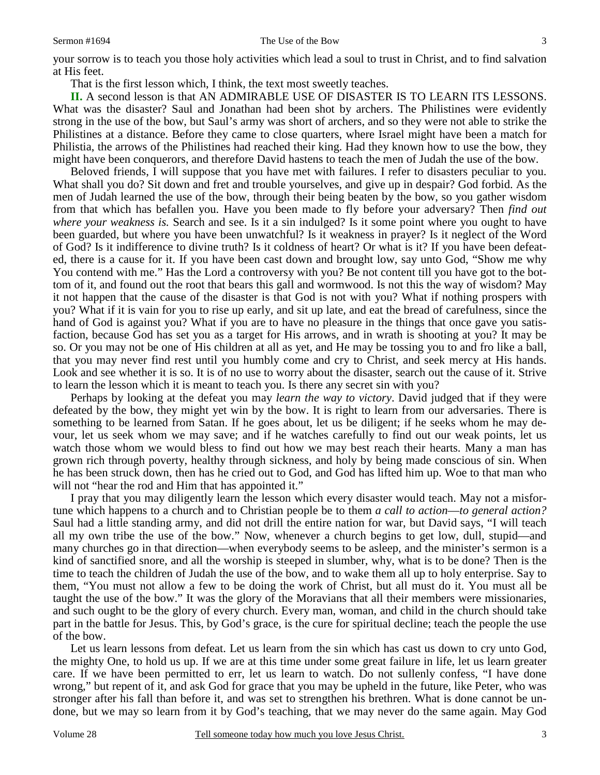#### Sermon #1694 The Use of the Bow 3

That is the first lesson which, I think, the text most sweetly teaches.

**II.** A second lesson is that AN ADMIRABLE USE OF DISASTER IS TO LEARN ITS LESSONS. What was the disaster? Saul and Jonathan had been shot by archers. The Philistines were evidently strong in the use of the bow, but Saul's army was short of archers, and so they were not able to strike the Philistines at a distance. Before they came to close quarters, where Israel might have been a match for Philistia, the arrows of the Philistines had reached their king. Had they known how to use the bow, they might have been conquerors, and therefore David hastens to teach the men of Judah the use of the bow.

 Beloved friends, I will suppose that you have met with failures. I refer to disasters peculiar to you. What shall you do? Sit down and fret and trouble yourselves, and give up in despair? God forbid. As the men of Judah learned the use of the bow, through their being beaten by the bow, so you gather wisdom from that which has befallen you. Have you been made to fly before your adversary? Then *find out where your weakness is.* Search and see. Is it a sin indulged? Is it some point where you ought to have been guarded, but where you have been unwatchful? Is it weakness in prayer? Is it neglect of the Word of God? Is it indifference to divine truth? Is it coldness of heart? Or what is it? If you have been defeated, there is a cause for it. If you have been cast down and brought low, say unto God, "Show me why You contend with me." Has the Lord a controversy with you? Be not content till you have got to the bottom of it, and found out the root that bears this gall and wormwood. Is not this the way of wisdom? May it not happen that the cause of the disaster is that God is not with you? What if nothing prospers with you? What if it is vain for you to rise up early, and sit up late, and eat the bread of carefulness, since the hand of God is against you? What if you are to have no pleasure in the things that once gave you satisfaction, because God has set you as a target for His arrows, and in wrath is shooting at you? It may be so. Or you may not be one of His children at all as yet, and He may be tossing you to and fro like a ball, that you may never find rest until you humbly come and cry to Christ, and seek mercy at His hands. Look and see whether it is so. It is of no use to worry about the disaster, search out the cause of it. Strive to learn the lesson which it is meant to teach you. Is there any secret sin with you?

 Perhaps by looking at the defeat you may *learn the way to victory*. David judged that if they were defeated by the bow, they might yet win by the bow. It is right to learn from our adversaries. There is something to be learned from Satan. If he goes about, let us be diligent; if he seeks whom he may devour, let us seek whom we may save; and if he watches carefully to find out our weak points, let us watch those whom we would bless to find out how we may best reach their hearts. Many a man has grown rich through poverty, healthy through sickness, and holy by being made conscious of sin. When he has been struck down, then has he cried out to God, and God has lifted him up. Woe to that man who will not "hear the rod and Him that has appointed it."

 I pray that you may diligently learn the lesson which every disaster would teach. May not a misfortune which happens to a church and to Christian people be to them *a call to action*—*to general action?* Saul had a little standing army, and did not drill the entire nation for war, but David says, "I will teach all my own tribe the use of the bow." Now, whenever a church begins to get low, dull, stupid—and many churches go in that direction—when everybody seems to be asleep, and the minister's sermon is a kind of sanctified snore, and all the worship is steeped in slumber, why, what is to be done? Then is the time to teach the children of Judah the use of the bow, and to wake them all up to holy enterprise. Say to them, "You must not allow a few to be doing the work of Christ, but all must do it. You must all be taught the use of the bow." It was the glory of the Moravians that all their members were missionaries, and such ought to be the glory of every church. Every man, woman, and child in the church should take part in the battle for Jesus. This, by God's grace, is the cure for spiritual decline; teach the people the use of the bow.

 Let us learn lessons from defeat. Let us learn from the sin which has cast us down to cry unto God, the mighty One, to hold us up. If we are at this time under some great failure in life, let us learn greater care. If we have been permitted to err, let us learn to watch. Do not sullenly confess, "I have done wrong," but repent of it, and ask God for grace that you may be upheld in the future, like Peter, who was stronger after his fall than before it, and was set to strengthen his brethren. What is done cannot be undone, but we may so learn from it by God's teaching, that we may never do the same again. May God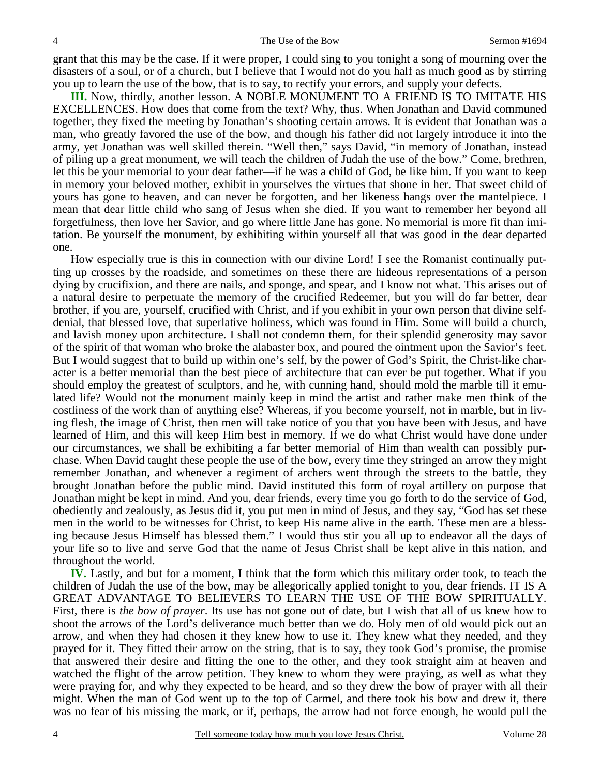grant that this may be the case. If it were proper, I could sing to you tonight a song of mourning over the disasters of a soul, or of a church, but I believe that I would not do you half as much good as by stirring you up to learn the use of the bow, that is to say, to rectify your errors, and supply your defects.

**III.** Now, thirdly, another lesson. A NOBLE MONUMENT TO A FRIEND IS TO IMITATE HIS EXCELLENCES. How does that come from the text? Why, thus. When Jonathan and David communed together, they fixed the meeting by Jonathan's shooting certain arrows. It is evident that Jonathan was a man, who greatly favored the use of the bow, and though his father did not largely introduce it into the army, yet Jonathan was well skilled therein. "Well then," says David, "in memory of Jonathan, instead of piling up a great monument, we will teach the children of Judah the use of the bow." Come, brethren, let this be your memorial to your dear father—if he was a child of God, be like him. If you want to keep in memory your beloved mother, exhibit in yourselves the virtues that shone in her. That sweet child of yours has gone to heaven, and can never be forgotten, and her likeness hangs over the mantelpiece. I mean that dear little child who sang of Jesus when she died. If you want to remember her beyond all forgetfulness, then love her Savior, and go where little Jane has gone. No memorial is more fit than imitation. Be yourself the monument, by exhibiting within yourself all that was good in the dear departed one.

 How especially true is this in connection with our divine Lord! I see the Romanist continually putting up crosses by the roadside, and sometimes on these there are hideous representations of a person dying by crucifixion, and there are nails, and sponge, and spear, and I know not what. This arises out of a natural desire to perpetuate the memory of the crucified Redeemer, but you will do far better, dear brother, if you are, yourself, crucified with Christ, and if you exhibit in your own person that divine selfdenial, that blessed love, that superlative holiness, which was found in Him. Some will build a church, and lavish money upon architecture. I shall not condemn them, for their splendid generosity may savor of the spirit of that woman who broke the alabaster box, and poured the ointment upon the Savior's feet. But I would suggest that to build up within one's self, by the power of God's Spirit, the Christ-like character is a better memorial than the best piece of architecture that can ever be put together. What if you should employ the greatest of sculptors, and he, with cunning hand, should mold the marble till it emulated life? Would not the monument mainly keep in mind the artist and rather make men think of the costliness of the work than of anything else? Whereas, if you become yourself, not in marble, but in living flesh, the image of Christ, then men will take notice of you that you have been with Jesus, and have learned of Him, and this will keep Him best in memory. If we do what Christ would have done under our circumstances, we shall be exhibiting a far better memorial of Him than wealth can possibly purchase. When David taught these people the use of the bow, every time they stringed an arrow they might remember Jonathan, and whenever a regiment of archers went through the streets to the battle, they brought Jonathan before the public mind. David instituted this form of royal artillery on purpose that Jonathan might be kept in mind. And you, dear friends, every time you go forth to do the service of God, obediently and zealously, as Jesus did it, you put men in mind of Jesus, and they say, "God has set these men in the world to be witnesses for Christ, to keep His name alive in the earth. These men are a blessing because Jesus Himself has blessed them." I would thus stir you all up to endeavor all the days of your life so to live and serve God that the name of Jesus Christ shall be kept alive in this nation, and throughout the world.

**IV.** Lastly, and but for a moment, I think that the form which this military order took, to teach the children of Judah the use of the bow, may be allegorically applied tonight to you, dear friends. IT IS A GREAT ADVANTAGE TO BELIEVERS TO LEARN THE USE OF THE BOW SPIRITUALLY. First, there is *the bow of prayer*. Its use has not gone out of date, but I wish that all of us knew how to shoot the arrows of the Lord's deliverance much better than we do. Holy men of old would pick out an arrow, and when they had chosen it they knew how to use it. They knew what they needed, and they prayed for it. They fitted their arrow on the string, that is to say, they took God's promise, the promise that answered their desire and fitting the one to the other, and they took straight aim at heaven and watched the flight of the arrow petition. They knew to whom they were praying, as well as what they were praying for, and why they expected to be heard, and so they drew the bow of prayer with all their might. When the man of God went up to the top of Carmel, and there took his bow and drew it, there was no fear of his missing the mark, or if, perhaps, the arrow had not force enough, he would pull the